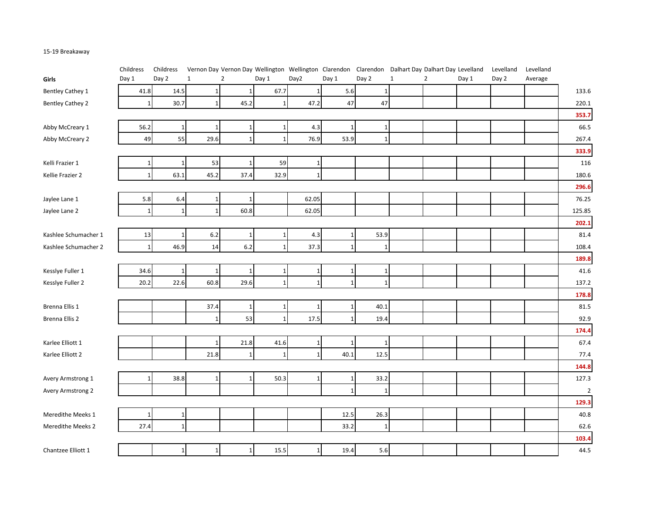## 15-19 Breakaway

|                         | Childress       | Childress    |              |                |                |              |              |              | Vernon Day Vernon Day Wellington Wellington Clarendon Clarendon Dalhart Day Dalhart Day Levelland |                |       | Levelland | Levelland |                |
|-------------------------|-----------------|--------------|--------------|----------------|----------------|--------------|--------------|--------------|---------------------------------------------------------------------------------------------------|----------------|-------|-----------|-----------|----------------|
| Girls                   | Day 1           | Day 2        | $\mathbf{1}$ | $\overline{2}$ | Day 1          | Day2         | Day 1        | Day 2        | $\mathbf 1$                                                                                       | $\overline{2}$ | Day 1 | Day 2     | Average   |                |
| Bentley Cathey 1        | 41.8            | 14.5         |              |                | 67.7           |              | 5.6          |              |                                                                                                   |                |       |           |           | 133.6          |
| <b>Bentley Cathey 2</b> | $\mathbf{1}$    | 30.7         | $\mathbf{1}$ | 45.2           | $\mathbf{1}$   | 47.2         | 47           | 47           |                                                                                                   |                |       |           |           | 220.1          |
|                         |                 |              |              |                |                |              |              |              |                                                                                                   |                |       |           |           | 353.7          |
| Abby McCreary 1         | 56.2            | 1            | 1            | $\mathbf{1}$   |                | 4.3          |              | 1            |                                                                                                   |                |       |           |           | 66.5           |
| Abby McCreary 2         | 49              | 55           | 29.6         | $\mathbf 1$    | $\mathbf{1}$   | 76.9         | 53.9         | $\mathbf{1}$ |                                                                                                   |                |       |           |           | 267.4          |
|                         |                 |              |              |                |                |              |              |              |                                                                                                   |                |       |           |           | 333.9          |
| Kelli Frazier 1         | 1               |              | 53           | 1              | 59             | 1            |              |              |                                                                                                   |                |       |           |           | 116            |
| Kellie Frazier 2        | $1\vert$        | 63.1         | 45.2         | 37.4           | 32.9           | $\mathbf{1}$ |              |              |                                                                                                   |                |       |           |           | 180.6          |
|                         |                 |              |              |                |                |              |              |              |                                                                                                   |                |       |           |           | 296.6          |
| Jaylee Lane 1           | 5.8             | 6.4          | 1            | 1              |                | 62.05        |              |              |                                                                                                   |                |       |           |           | 76.25          |
| Jaylee Lane 2           | 1               | $\mathbf{1}$ | $\mathbf{1}$ | 60.8           |                | 62.05        |              |              |                                                                                                   |                |       |           |           | 125.85         |
|                         |                 |              |              |                |                |              |              |              |                                                                                                   |                |       |           |           | 202.1          |
| Kashlee Schumacher 1    | 13              |              | 6.2          | $\mathbf{1}$   |                | 4.3          |              | 53.9         |                                                                                                   |                |       |           |           | 81.4           |
| Kashlee Schumacher 2    | $1\overline{ }$ | 46.9         | 14           | 6.2            | $\overline{1}$ | 37.3         | $\mathbf{1}$ | $\mathbf{1}$ |                                                                                                   |                |       |           |           | 108.4          |
|                         |                 |              |              |                |                |              |              |              |                                                                                                   |                |       |           |           | 189.8          |
| Kesslye Fuller 1        | 34.6            | 1            | 1            | 1              |                | 1            |              | 1            |                                                                                                   |                |       |           |           | 41.6           |
| Kesslye Fuller 2        | 20.2            | 22.6         | 60.8         | 29.6           | -1             | $\mathbf{1}$ |              | $\mathbf{1}$ |                                                                                                   |                |       |           |           | 137.2          |
|                         |                 |              |              |                |                |              |              |              |                                                                                                   |                |       |           |           | 178.8          |
| Brenna Ellis 1          |                 |              | 37.4         | 1              |                | 1            |              | 40.1         |                                                                                                   |                |       |           |           | $81.5\,$       |
| Brenna Ellis 2          |                 |              | $\mathbf{1}$ | 53             | $\mathbf{1}$   | 17.5         |              | 19.4         |                                                                                                   |                |       |           |           | 92.9           |
|                         |                 |              |              |                |                |              |              |              |                                                                                                   |                |       |           |           | 174.4          |
| Karlee Elliott 1        |                 |              | 1            | 21.8           | 41.6           | 1            |              | 1            |                                                                                                   |                |       |           |           | 67.4           |
| Karlee Elliott 2        |                 |              | 21.8         | $\mathbf{1}$   | -1             |              | 40.1         | 12.5         |                                                                                                   |                |       |           |           | 77.4           |
|                         |                 |              |              |                |                |              |              |              |                                                                                                   |                |       |           |           | 144.8          |
| Avery Armstrong 1       |                 | 38.8         | 1            | 1              | 50.3           | 1            |              | 33.2         |                                                                                                   |                |       |           |           | 127.3          |
| Avery Armstrong 2       |                 |              |              |                |                |              | -1           | $\mathbf{1}$ |                                                                                                   |                |       |           |           | $\overline{2}$ |
|                         |                 |              |              |                |                |              |              |              |                                                                                                   |                |       |           |           | 129.3          |
| Meredithe Meeks 1       |                 |              |              |                |                |              | 12.5         | 26.3         |                                                                                                   |                |       |           |           | 40.8           |
| Meredithe Meeks 2       | 27.4            |              |              |                |                |              | 33.2         | 1            |                                                                                                   |                |       |           |           | 62.6           |
|                         |                 |              |              |                |                |              |              |              |                                                                                                   |                |       |           |           | 103.4          |
| Chantzee Elliott 1      |                 | 1            | 1            | $\mathbf 1$    | 15.5           | $\mathbf{1}$ | 19.4         | 5.6          |                                                                                                   |                |       |           |           | 44.5           |